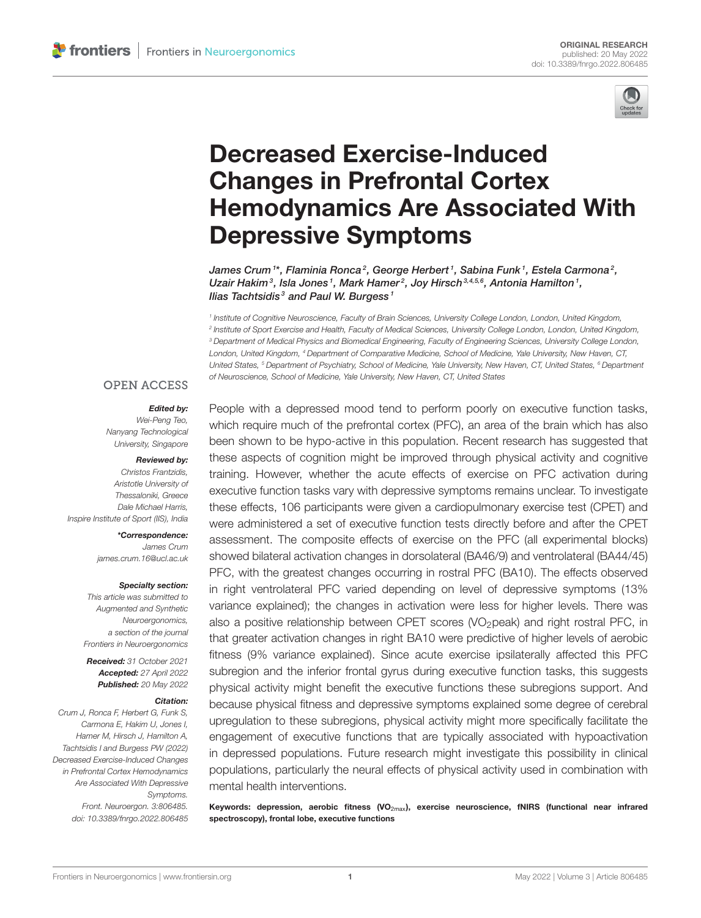

# Decreased Exercise-Induced Changes in Prefrontal Cortex [Hemodynamics Are Associated With](https://www.frontiersin.org/articles/10.3389/fnrgo.2022.806485/full) Depressive Symptoms

James Crum  $^{\rm t*}$ , Flaminia Ronca $^{\rm 2}$ , George Herbert  $^{\rm 1}$ , Sabina Funk  $^{\rm 1}$ , Estela Carmona $^{\rm 2}$ , Uzair Hakim $^3$ , Isla Jones $^1$ , Mark Hamer $^2$ , Joy Hirsch $^{3,4,5,6}$ , Antonia Hamilton $^1$ , Ilias Tachtsidis<sup>3</sup> and Paul W. Burgess<sup>1</sup>

*1 Institute of Cognitive Neuroscience, Faculty of Brain Sciences, University College London, London, United Kingdom, 2 Institute of Sport Exercise and Health, Faculty of Medical Sciences, University College London, London, United Kingdom, <sup>3</sup> Department of Medical Physics and Biomedical Engineering, Faculty of Engineering Sciences, University College London, London, United Kingdom, <sup>4</sup> Department of Comparative Medicine, School of Medicine, Yale University, New Haven, CT, United States, <sup>5</sup> Department of Psychiatry, School of Medicine, Yale University, New Haven, CT, United States, <sup>6</sup> Department of Neuroscience, School of Medicine, Yale University, New Haven, CT, United States*

## **OPEN ACCESS**

#### Edited by:

*Wei-Peng Teo, Nanyang Technological University, Singapore*

#### Reviewed by:

*Christos Frantzidis, Aristotle University of Thessaloniki, Greece Dale Michael Harris, Inspire Institute of Sport (IIS), India*

> \*Correspondence: *James Crum [james.crum.16@ucl.ac.uk](mailto:james.crum.16@ucl.ac.uk)*

#### Specialty section:

*This article was submitted to Augmented and Synthetic Neuroergonomics, a section of the journal Frontiers in Neuroergonomics*

Received: *31 October 2021* Accepted: *27 April 2022* Published: *20 May 2022*

#### Citation:

*Crum J, Ronca F, Herbert G, Funk S, Carmona E, Hakim U, Jones I, Hamer M, Hirsch J, Hamilton A, Tachtsidis I and Burgess PW (2022) Decreased Exercise-Induced Changes in Prefrontal Cortex Hemodynamics Are Associated With Depressive Symptoms. Front. Neuroergon. 3:806485. doi: [10.3389/fnrgo.2022.806485](https://doi.org/10.3389/fnrgo.2022.806485)*

People with a depressed mood tend to perform poorly on executive function tasks, which require much of the prefrontal cortex (PFC), an area of the brain which has also been shown to be hypo-active in this population. Recent research has suggested that these aspects of cognition might be improved through physical activity and cognitive training. However, whether the acute effects of exercise on PFC activation during executive function tasks vary with depressive symptoms remains unclear. To investigate these effects, 106 participants were given a cardiopulmonary exercise test (CPET) and were administered a set of executive function tests directly before and after the CPET assessment. The composite effects of exercise on the PFC (all experimental blocks) showed bilateral activation changes in dorsolateral (BA46/9) and ventrolateral (BA44/45) PFC, with the greatest changes occurring in rostral PFC (BA10). The effects observed in right ventrolateral PFC varied depending on level of depressive symptoms (13% variance explained); the changes in activation were less for higher levels. There was also a positive relationship between CPET scores (VO<sub>2</sub>peak) and right rostral PFC, in that greater activation changes in right BA10 were predictive of higher levels of aerobic fitness (9% variance explained). Since acute exercise ipsilaterally affected this PFC subregion and the inferior frontal gyrus during executive function tasks, this suggests physical activity might benefit the executive functions these subregions support. And because physical fitness and depressive symptoms explained some degree of cerebral upregulation to these subregions, physical activity might more specifically facilitate the engagement of executive functions that are typically associated with hypoactivation in depressed populations. Future research might investigate this possibility in clinical populations, particularly the neural effects of physical activity used in combination with mental health interventions.

Keywords: depression, aerobic fitness  $(VO_{2\text{max}})$ , exercise neuroscience, fNIRS (functional near infrared spectroscopy), frontal lobe, executive functions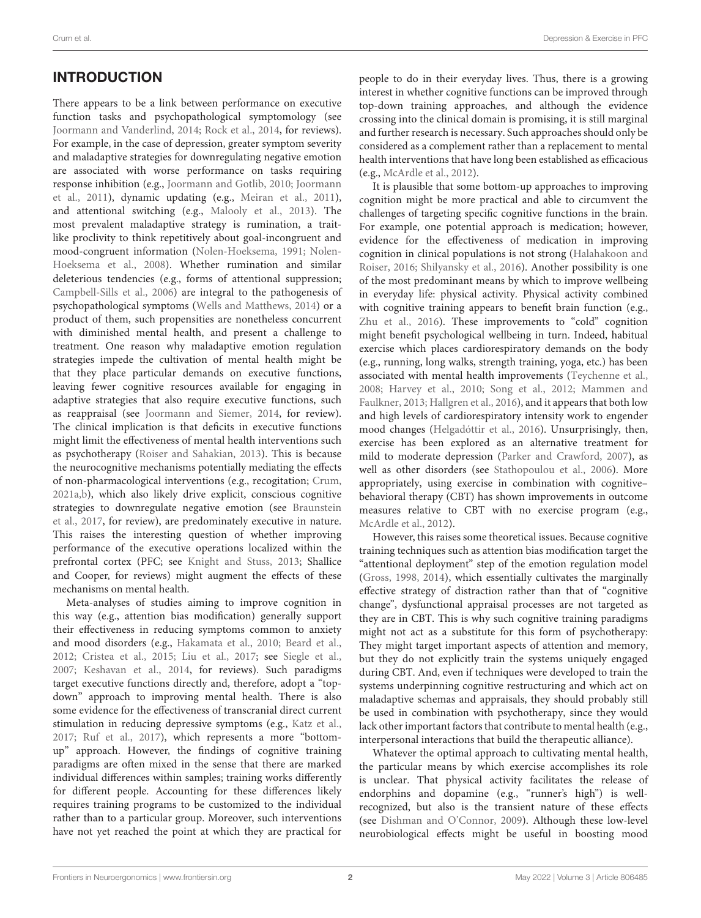# INTRODUCTION

There appears to be a link between performance on executive function tasks and psychopathological symptomology (see [Joormann and Vanderlind, 2014;](#page-8-0) [Rock et al., 2014,](#page-8-1) for reviews). For example, in the case of depression, greater symptom severity and maladaptive strategies for downregulating negative emotion are associated with worse performance on tasks requiring response inhibition (e.g., [Joormann and Gotlib, 2010;](#page-8-2) Joormann et al., [2011\)](#page-8-3), dynamic updating (e.g., [Meiran et al., 2011\)](#page-8-4), and attentional switching (e.g., [Malooly et al., 2013\)](#page-8-5). The most prevalent maladaptive strategy is rumination, a traitlike proclivity to think repetitively about goal-incongruent and mood-congruent information [\(Nolen-Hoeksema, 1991;](#page-8-6) Nolen-Hoeksema et al., [2008\)](#page-8-7). Whether rumination and similar deleterious tendencies (e.g., forms of attentional suppression; [Campbell-Sills et al., 2006\)](#page-7-0) are integral to the pathogenesis of psychopathological symptoms [\(Wells and Matthews, 2014\)](#page-9-0) or a product of them, such propensities are nonetheless concurrent with diminished mental health, and present a challenge to treatment. One reason why maladaptive emotion regulation strategies impede the cultivation of mental health might be that they place particular demands on executive functions, leaving fewer cognitive resources available for engaging in adaptive strategies that also require executive functions, such as reappraisal (see [Joormann and Siemer, 2014,](#page-8-8) for review). The clinical implication is that deficits in executive functions might limit the effectiveness of mental health interventions such as psychotherapy [\(Roiser and Sahakian, 2013\)](#page-8-9). This is because the neurocognitive mechanisms potentially mediating the effects of non-pharmacological interventions (e.g., recogitation; [Crum,](#page-7-1) [2021a](#page-7-1)[,b\)](#page-7-2), which also likely drive explicit, conscious cognitive strategies to downregulate negative emotion (see Braunstein et al., [2017,](#page-7-3) for review), are predominately executive in nature. This raises the interesting question of whether improving performance of the executive operations localized within the prefrontal cortex (PFC; see [Knight and Stuss, 2013;](#page-8-10) Shallice and Cooper, for reviews) might augment the effects of these mechanisms on mental health.

Meta-analyses of studies aiming to improve cognition in this way (e.g., attention bias modification) generally support their effectiveness in reducing symptoms common to anxiety and mood disorders (e.g., [Hakamata et al., 2010;](#page-8-11) [Beard et al.,](#page-7-4) [2012;](#page-7-4) [Cristea et al., 2015;](#page-7-5) [Liu et al., 2017;](#page-8-12) see [Siegle et al.,](#page-8-13) [2007;](#page-8-13) [Keshavan et al., 2014,](#page-8-14) for reviews). Such paradigms target executive functions directly and, therefore, adopt a "topdown" approach to improving mental health. There is also some evidence for the effectiveness of transcranial direct current stimulation in reducing depressive symptoms (e.g., [Katz et al.,](#page-8-15) [2017;](#page-8-15) [Ruf et al., 2017\)](#page-8-16), which represents a more "bottomup" approach. However, the findings of cognitive training paradigms are often mixed in the sense that there are marked individual differences within samples; training works differently for different people. Accounting for these differences likely requires training programs to be customized to the individual rather than to a particular group. Moreover, such interventions have not yet reached the point at which they are practical for people to do in their everyday lives. Thus, there is a growing interest in whether cognitive functions can be improved through top-down training approaches, and although the evidence crossing into the clinical domain is promising, it is still marginal and further research is necessary. Such approaches should only be considered as a complement rather than a replacement to mental health interventions that have long been established as efficacious (e.g., [McArdle et al., 2012\)](#page-8-17).

It is plausible that some bottom-up approaches to improving cognition might be more practical and able to circumvent the challenges of targeting specific cognitive functions in the brain. For example, one potential approach is medication; however, evidence for the effectiveness of medication in improving cognition in clinical populations is not strong (Halahakoon and Roiser, [2016;](#page-8-18) [Shilyansky et al., 2016\)](#page-8-19). Another possibility is one of the most predominant means by which to improve wellbeing in everyday life: physical activity. Physical activity combined with cognitive training appears to benefit brain function (e.g., [Zhu et al., 2016\)](#page-9-1). These improvements to "cold" cognition might benefit psychological wellbeing in turn. Indeed, habitual exercise which places cardiorespiratory demands on the body (e.g., running, long walks, strength training, yoga, etc.) has been associated with mental health improvements [\(Teychenne et al.,](#page-9-2) [2008;](#page-9-2) [Harvey et al., 2010;](#page-8-20) [Song et al., 2012;](#page-8-21) Mammen and Faulkner, [2013;](#page-8-22) [Hallgren et al., 2016\)](#page-8-23), and it appears that both low and high levels of cardiorespiratory intensity work to engender mood changes [\(Helgadóttir et al., 2016\)](#page-8-24). Unsurprisingly, then, exercise has been explored as an alternative treatment for mild to moderate depression [\(Parker and Crawford, 2007\)](#page-8-25), as well as other disorders (see [Stathopoulou et al., 2006\)](#page-9-3). More appropriately, using exercise in combination with cognitive– behavioral therapy (CBT) has shown improvements in outcome measures relative to CBT with no exercise program (e.g., [McArdle et al., 2012\)](#page-8-17).

However, this raises some theoretical issues. Because cognitive training techniques such as attention bias modification target the "attentional deployment" step of the emotion regulation model [\(Gross, 1998,](#page-7-6) [2014\)](#page-7-7), which essentially cultivates the marginally effective strategy of distraction rather than that of "cognitive change", dysfunctional appraisal processes are not targeted as they are in CBT. This is why such cognitive training paradigms might not act as a substitute for this form of psychotherapy: They might target important aspects of attention and memory, but they do not explicitly train the systems uniquely engaged during CBT. And, even if techniques were developed to train the systems underpinning cognitive restructuring and which act on maladaptive schemas and appraisals, they should probably still be used in combination with psychotherapy, since they would lack other important factors that contribute to mental health (e.g., interpersonal interactions that build the therapeutic alliance).

Whatever the optimal approach to cultivating mental health, the particular means by which exercise accomplishes its role is unclear. That physical activity facilitates the release of endorphins and dopamine (e.g., "runner's high") is wellrecognized, but also is the transient nature of these effects (see [Dishman and O'Connor, 2009\)](#page-7-8). Although these low-level neurobiological effects might be useful in boosting mood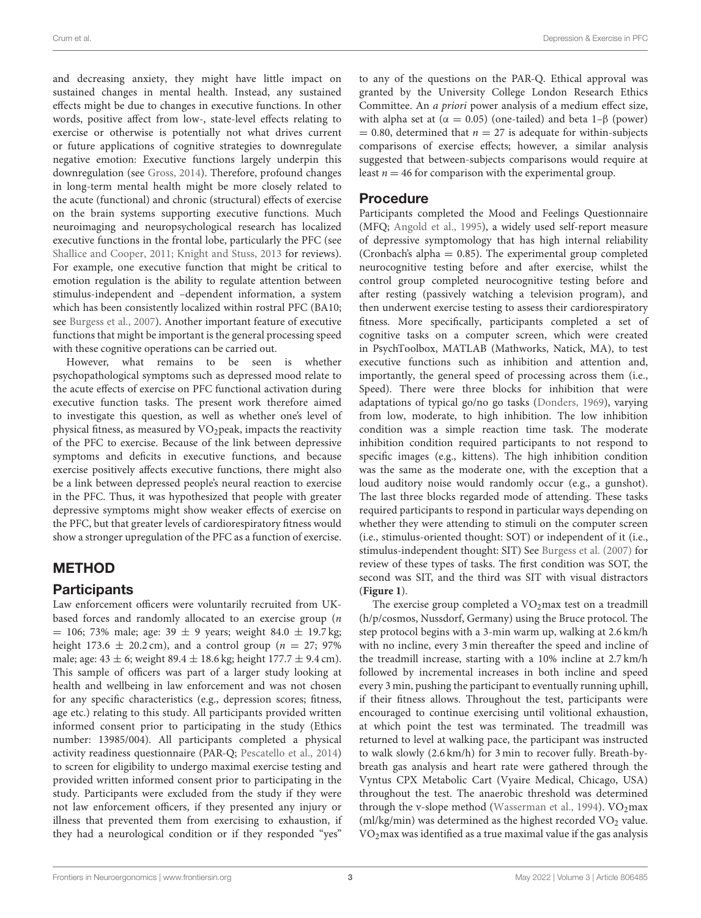Crum et al. Depression & Exercise in PFC

and decreasing anxiety, they might have little impact on sustained changes in mental health. Instead, any sustained effects might be due to changes in executive functions. In other words, positive affect from low-, state-level effects relating to exercise or otherwise is potentially not what drives current or future applications of cognitive strategies to downregulate negative emotion: Executive functions largely underpin this downregulation (see [Gross, 2014\)](#page-7-7). Therefore, profound changes in long-term mental health might be more closely related to the acute (functional) and chronic (structural) effects of exercise on the brain systems supporting executive functions. Much neuroimaging and neuropsychological research has localized executive functions in the frontal lobe, particularly the PFC (see [Shallice and Cooper, 2011;](#page-8-26) [Knight and Stuss, 2013](#page-8-10) for reviews). For example, one executive function that might be critical to emotion regulation is the ability to regulate attention between stimulus-independent and –dependent information, a system which has been consistently localized within rostral PFC (BA10; see [Burgess et al., 2007\)](#page-7-9). Another important feature of executive functions that might be important is the general processing speed with these cognitive operations can be carried out.

However, what remains to be seen is whether psychopathological symptoms such as depressed mood relate to the acute effects of exercise on PFC functional activation during executive function tasks. The present work therefore aimed to investigate this question, as well as whether one's level of physical fitness, as measured by  $VO<sub>2</sub>peak$ , impacts the reactivity of the PFC to exercise. Because of the link between depressive symptoms and deficits in executive functions, and because exercise positively affects executive functions, there might also be a link between depressed people's neural reaction to exercise in the PFC. Thus, it was hypothesized that people with greater depressive symptoms might show weaker effects of exercise on the PFC, but that greater levels of cardiorespiratory fitness would show a stronger upregulation of the PFC as a function of exercise.

## METHOD

## **Participants**

Law enforcement officers were voluntarily recruited from UKbased forces and randomly allocated to an exercise group (n  $= 106$ ; 73% male; age: 39  $\pm$  9 years; weight 84.0  $\pm$  19.7 kg; height 173.6  $\pm$  20.2 cm), and a control group ( $n = 27$ ; 97% male; age:  $43 \pm 6$ ; weight  $89.4 \pm 18.6$  kg; height  $177.7 \pm 9.4$  cm). This sample of officers was part of a larger study looking at health and wellbeing in law enforcement and was not chosen for any specific characteristics (e.g., depression scores; fitness, age etc.) relating to this study. All participants provided written informed consent prior to participating in the study (Ethics number: 13985/004). All participants completed a physical activity readiness questionnaire (PAR-Q; [Pescatello et al., 2014\)](#page-8-27) to screen for eligibility to undergo maximal exercise testing and provided written informed consent prior to participating in the study. Participants were excluded from the study if they were not law enforcement officers, if they presented any injury or illness that prevented them from exercising to exhaustion, if they had a neurological condition or if they responded "yes"

to any of the questions on the PAR-Q. Ethical approval was granted by the University College London Research Ethics Committee. An a priori power analysis of a medium effect size, with alpha set at ( $\alpha = 0.05$ ) (one-tailed) and beta 1–β (power)  $= 0.80$ , determined that  $n = 27$  is adequate for within-subjects comparisons of exercise effects; however, a similar analysis suggested that between-subjects comparisons would require at least  $n = 46$  for comparison with the experimental group.

## Procedure

Participants completed the Mood and Feelings Questionnaire (MFQ; [Angold et al., 1995\)](#page-7-10), a widely used self-report measure of depressive symptomology that has high internal reliability (Cronbach's alpha  $= 0.85$ ). The experimental group completed neurocognitive testing before and after exercise, whilst the control group completed neurocognitive testing before and after resting (passively watching a television program), and then underwent exercise testing to assess their cardiorespiratory fitness. More specifically, participants completed a set of cognitive tasks on a computer screen, which were created in PsychToolbox, MATLAB (Mathworks, Natick, MA), to test executive functions such as inhibition and attention and, importantly, the general speed of processing across them (i.e., Speed). There were three blocks for inhibition that were adaptations of typical go/no go tasks [\(Donders, 1969\)](#page-7-11), varying from low, moderate, to high inhibition. The low inhibition condition was a simple reaction time task. The moderate inhibition condition required participants to not respond to specific images (e.g., kittens). The high inhibition condition was the same as the moderate one, with the exception that a loud auditory noise would randomly occur (e.g., a gunshot). The last three blocks regarded mode of attending. These tasks required participants to respond in particular ways depending on whether they were attending to stimuli on the computer screen (i.e., stimulus-oriented thought: SOT) or independent of it (i.e., stimulus-independent thought: SIT) See [Burgess et al. \(2007\)](#page-7-9) for review of these types of tasks. The first condition was SOT, the second was SIT, and the third was SIT with visual distractors (**[Figure 1](#page-3-0)**).

The exercise group completed a  $VO<sub>2</sub>$  max test on a treadmill (h/p/cosmos, Nussdorf, Germany) using the Bruce protocol. The step protocol begins with a 3-min warm up, walking at 2.6 km/h with no incline, every 3 min thereafter the speed and incline of the treadmill increase, starting with a 10% incline at 2.7 km/h followed by incremental increases in both incline and speed every 3 min, pushing the participant to eventually running uphill, if their fitness allows. Throughout the test, participants were encouraged to continue exercising until volitional exhaustion, at which point the test was terminated. The treadmill was returned to level at walking pace, the participant was instructed to walk slowly (2.6 km/h) for 3 min to recover fully. Breath-bybreath gas analysis and heart rate were gathered through the Vyntus CPX Metabolic Cart (Vyaire Medical, Chicago, USA) throughout the test. The anaerobic threshold was determined through the v-slope method [\(Wasserman et al., 1994\)](#page-9-4).  $VO<sub>2</sub>max$ (ml/kg/min) was determined as the highest recorded  $VO<sub>2</sub>$  value.  $VO<sub>2</sub>$  max was identified as a true maximal value if the gas analysis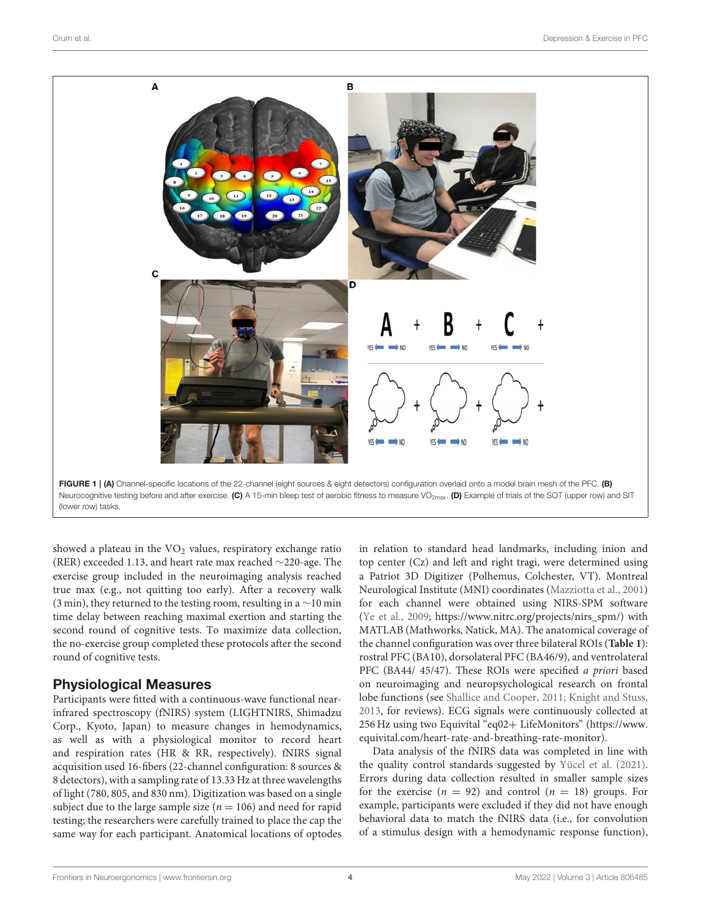

<span id="page-3-0"></span>(lower row) tasks.

showed a plateau in the  $VO<sub>2</sub>$  values, respiratory exchange ratio (RER) exceeded 1.13, and heart rate max reached ∼220-age. The exercise group included in the neuroimaging analysis reached true max (e.g., not quitting too early). After a recovery walk (3 min), they returned to the testing room, resulting in a ∼10 min time delay between reaching maximal exertion and starting the second round of cognitive tests. To maximize data collection, the no-exercise group completed these protocols after the second round of cognitive tests.

#### Physiological Measures

Participants were fitted with a continuous-wave functional nearinfrared spectroscopy (fNIRS) system (LIGHTNIRS, Shimadzu Corp., Kyoto, Japan) to measure changes in hemodynamics, as well as with a physiological monitor to record heart and respiration rates (HR & RR, respectively). fNIRS signal acquisition used 16-fibers (22-channel configuration: 8 sources & 8 detectors), with a sampling rate of 13.33 Hz at three wavelengths of light (780, 805, and 830 nm). Digitization was based on a single subject due to the large sample size ( $n = 106$ ) and need for rapid testing; the researchers were carefully trained to place the cap the same way for each participant. Anatomical locations of optodes in relation to standard head landmarks, including inion and top center (Cz) and left and right tragi, were determined using a Patriot 3D Digitizer (Polhemus, Colchester, VT). Montreal Neurological Institute (MNI) coordinates [\(Mazziotta et al., 2001\)](#page-8-28) for each channel were obtained using NIRS-SPM software [\(Ye et al., 2009;](#page-9-5) [https://www.nitrc.org/projects/nirs\\_spm/\)](https://www.nitrc.org/projects/nirs_spm/) with MATLAB (Mathworks, Natick, MA). The anatomical coverage of the channel configuration was over three bilateral ROIs (**[Table 1](#page-4-0)**): rostral PFC (BA10), dorsolateral PFC (BA46/9), and ventrolateral PFC (BA44/ 45/47). These ROIs were specified a priori based on neuroimaging and neuropsychological research on frontal lobe functions (see [Shallice and Cooper, 2011;](#page-8-26) [Knight and Stuss,](#page-8-10) [2013,](#page-8-10) for reviews). ECG signals were continuously collected at 256 Hz using two Equivital "eq02+ LifeMonitors" [\(https://www.](https://www.equivital.com/heart-rate-and-breathing-rate-monitor) [equivital.com/heart-rate-and-breathing-rate-monitor\)](https://www.equivital.com/heart-rate-and-breathing-rate-monitor).

Data analysis of the fNIRS data was completed in line with the quality control standards suggested by [Yücel et al. \(2021\)](#page-9-6). Errors during data collection resulted in smaller sample sizes for the exercise ( $n = 92$ ) and control ( $n = 18$ ) groups. For example, participants were excluded if they did not have enough behavioral data to match the fNIRS data (i.e., for convolution of a stimulus design with a hemodynamic response function),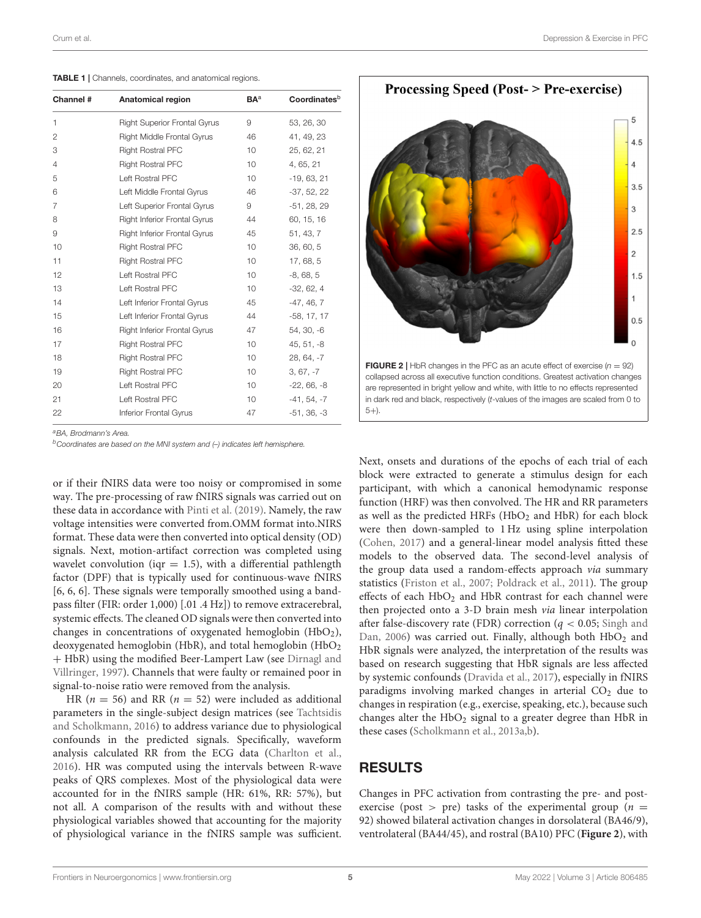| Channel #      | Anatomical region                   | <b>BA</b> <sup>a</sup> | Coordinates <sup>b</sup> |
|----------------|-------------------------------------|------------------------|--------------------------|
| 1              | <b>Right Superior Frontal Gyrus</b> | 9                      | 53, 26, 30               |
| 2              | <b>Right Middle Frontal Gyrus</b>   | 46                     | 41, 49, 23               |
| 3              | <b>Right Rostral PFC</b>            | 10                     | 25, 62, 21               |
| $\overline{4}$ | <b>Right Rostral PFC</b>            | 10                     | 4, 65, 21                |
| 5              | Left Rostral PFC                    | 10                     | $-19, 63, 21$            |
| 6              | Left Middle Frontal Gyrus           | 46                     | $-37, 52, 22$            |
| 7              | Left Superior Frontal Gyrus         | 9                      | $-51, 28, 29$            |
| 8              | <b>Right Inferior Frontal Gyrus</b> | 44                     | 60, 15, 16               |
| 9              | <b>Right Inferior Frontal Gyrus</b> | 45                     | 51, 43, 7                |
| 10             | <b>Right Rostral PFC</b>            | 10                     | 36, 60, 5                |
| 11             | <b>Right Rostral PFC</b>            | 10                     | 17, 68, 5                |
| 12             | Left Rostral PFC                    | 10                     | $-8,68,5$                |
| 13             | Left Rostral PFC                    | 10                     | $-32, 62, 4$             |
| 14             | Left Inferior Frontal Gyrus         | 45                     | $-47, 46, 7$             |
| 15             | Left Inferior Frontal Gyrus         | 44                     | $-58, 17, 17$            |
| 16             | <b>Right Inferior Frontal Gyrus</b> | 47                     | 54, 30, -6               |
| 17             | <b>Right Rostral PFC</b>            | 10                     | $45, 51, -8$             |
| 18             | <b>Right Rostral PFC</b>            | 10                     | 28, 64, -7               |
| 19             | <b>Right Rostral PFC</b>            | 10                     | $3, 67, -7$              |
| 20             | Left Rostral PFC                    | 10                     | $-22, 66, -8$            |
| 21             | Left Rostral PFC                    | 10                     | $-41, 54, -7$            |
| 22             | Inferior Frontal Gyrus              | 47                     | $-51, 36, -3$            |

<span id="page-4-0"></span>TABLE 1 | Channels, coordinates, and anatomical regions.

*<sup>a</sup>BA, Brodmann's Area.*

*<sup>b</sup>Coordinates are based on the MNI system and (–) indicates left hemisphere.*

or if their fNIRS data were too noisy or compromised in some way. The pre-processing of raw fNIRS signals was carried out on these data in accordance with [Pinti et al. \(2019\)](#page-8-29). Namely, the raw voltage intensities were converted from.OMM format into.NIRS format. These data were then converted into optical density (OD) signals. Next, motion-artifact correction was completed using wavelet convolution (iqr  $= 1.5$ ), with a differential pathlength factor (DPF) that is typically used for continuous-wave fNIRS [6, 6, 6]. These signals were temporally smoothed using a bandpass filter (FIR: order 1,000) [.01 .4 Hz]) to remove extracerebral, systemic effects. The cleaned OD signals were then converted into changes in concentrations of oxygenated hemoglobin  $(HbO<sub>2</sub>)$ , deoxygenated hemoglobin (HbR), and total hemoglobin (HbO<sub>2</sub> + HbR) using the modified Beer-Lampert Law (see Dirnagl and Villringer, [1997\)](#page-7-12). Channels that were faulty or remained poor in signal-to-noise ratio were removed from the analysis.

HR ( $n = 56$ ) and RR ( $n = 52$ ) were included as additional parameters in the single-subject design matrices (see Tachtsidis and Scholkmann, [2016\)](#page-9-7) to address variance due to physiological confounds in the predicted signals. Specifically, waveform analysis calculated RR from the ECG data [\(Charlton et al.,](#page-7-13) [2016\)](#page-7-13). HR was computed using the intervals between R-wave peaks of QRS complexes. Most of the physiological data were accounted for in the fNIRS sample (HR: 61%, RR: 57%), but not all. A comparison of the results with and without these physiological variables showed that accounting for the majority of physiological variance in the fNIRS sample was sufficient.



Next, onsets and durations of the epochs of each trial of each block were extracted to generate a stimulus design for each participant, with which a canonical hemodynamic response function (HRF) was then convolved. The HR and RR parameters as well as the predicted HRFs (HbO<sub>2</sub> and HbR) for each block were then down-sampled to 1 Hz using spline interpolation [\(Cohen, 2017\)](#page-7-14) and a general-linear model analysis fitted these models to the observed data. The second-level analysis of the group data used a random-effects approach via summary statistics [\(Friston et al., 2007;](#page-7-15) [Poldrack et al., 2011\)](#page-8-30). The group effects of each HbO<sub>2</sub> and HbR contrast for each channel were then projected onto a 3-D brain mesh via linear interpolation after false-discovery rate (FDR) correction ( $q < 0.05$ ; Singh and Dan, [2006\)](#page-8-31) was carried out. Finally, although both  $HbO<sub>2</sub>$  and HbR signals were analyzed, the interpretation of the results was based on research suggesting that HbR signals are less affected by systemic confounds [\(Dravida et al., 2017\)](#page-7-16), especially in fNIRS paradigms involving marked changes in arterial  $CO<sub>2</sub>$  due to changes in respiration (e.g., exercise, speaking, etc.), because such changes alter the  $HbO<sub>2</sub>$  signal to a greater degree than  $HbR$  in these cases [\(Scholkmann et al., 2013a,](#page-8-32)[b\)](#page-8-33).

#### RESULTS

<span id="page-4-1"></span> $(5+)$ 

Changes in PFC activation from contrasting the pre- and postexercise (post > pre) tasks of the experimental group ( $n =$ 92) showed bilateral activation changes in dorsolateral (BA46/9), ventrolateral (BA44/45), and rostral (BA10) PFC (**[Figure 2](#page-4-1)**), with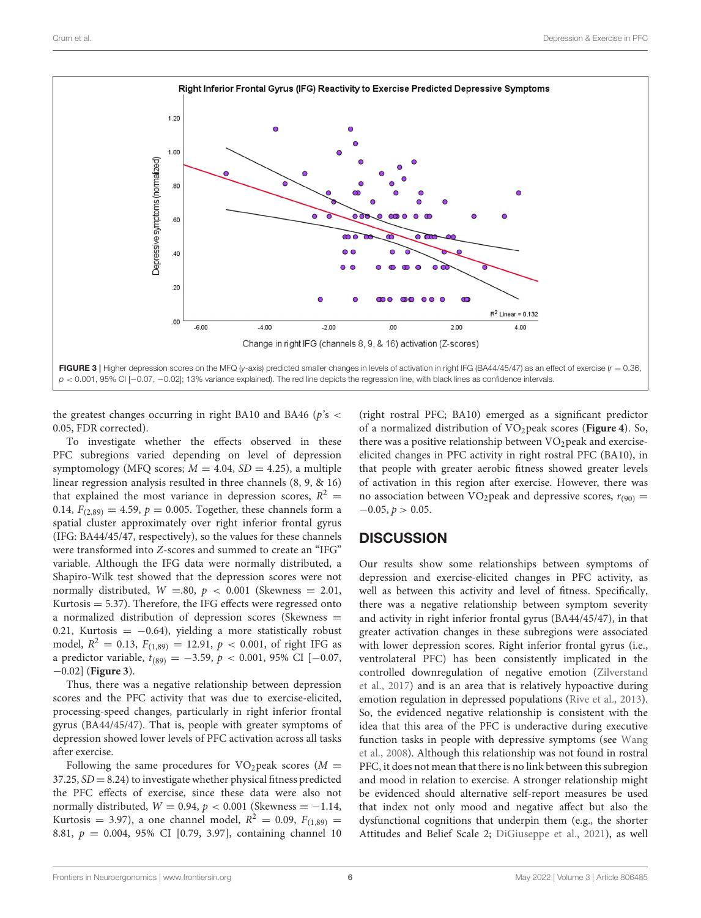

<span id="page-5-0"></span>the greatest changes occurring in right BA10 and BA46 ( $p$ 's  $\lt$ 0.05, FDR corrected).

To investigate whether the effects observed in these PFC subregions varied depending on level of depression symptomology (MFQ scores;  $M = 4.04$ ,  $SD = 4.25$ ), a multiple linear regression analysis resulted in three channels (8, 9, & 16) that explained the most variance in depression scores,  $R^2 =$ 0.14,  $F_{(2,89)} = 4.59$ ,  $p = 0.005$ . Together, these channels form a spatial cluster approximately over right inferior frontal gyrus (IFG: BA44/45/47, respectively), so the values for these channels were transformed into Z-scores and summed to create an "IFG" variable. Although the IFG data were normally distributed, a Shapiro-Wilk test showed that the depression scores were not normally distributed,  $W = .80$ ,  $p < 0.001$  (Skewness = 2.01, Kurtosis  $=$  5.37). Therefore, the IFG effects were regressed onto a normalized distribution of depression scores (Skewness = 0.21, Kurtosis =  $-0.64$ ), yielding a more statistically robust model,  $R^2 = 0.13$ ,  $F_{(1,89)} = 12.91$ ,  $p < 0.001$ , of right IFG as a predictor variable,  $t_{(89)} = -3.59$ ,  $p < 0.001$ , 95% CI [-0.07, −0.02] (**[Figure 3](#page-5-0)**).

Thus, there was a negative relationship between depression scores and the PFC activity that was due to exercise-elicited, processing-speed changes, particularly in right inferior frontal gyrus (BA44/45/47). That is, people with greater symptoms of depression showed lower levels of PFC activation across all tasks after exercise.

Following the same procedures for VO<sub>2</sub>peak scores ( $M =$  $37.25$ ,  $SD = 8.24$ ) to investigate whether physical fitness predicted the PFC effects of exercise, since these data were also not normally distributed,  $W = 0.94$ ,  $p < 0.001$  (Skewness = -1.14, Kurtosis = 3.97), a one channel model,  $R^2 = 0.09$ ,  $F_{(1,89)} =$ 8.81, p = 0.004, 95% CI [0.79, 3.97], containing channel 10

(right rostral PFC; BA10) emerged as a significant predictor of a normalized distribution of VO2peak scores (**[Figure 4](#page-6-0)**). So, there was a positive relationship between  $VO<sub>2</sub>$  peak and exerciseelicited changes in PFC activity in right rostral PFC (BA10), in that people with greater aerobic fitness showed greater levels of activation in this region after exercise. However, there was no association between VO<sub>2</sub> peak and depressive scores,  $r_{(90)} =$  $-0.05, p > 0.05.$ 

#### **DISCUSSION**

Our results show some relationships between symptoms of depression and exercise-elicited changes in PFC activity, as well as between this activity and level of fitness. Specifically, there was a negative relationship between symptom severity and activity in right inferior frontal gyrus (BA44/45/47), in that greater activation changes in these subregions were associated with lower depression scores. Right inferior frontal gyrus (i.e., ventrolateral PFC) has been consistently implicated in the controlled downregulation of negative emotion (Zilverstand et al., [2017\)](#page-9-8) and is an area that is relatively hypoactive during emotion regulation in depressed populations [\(Rive et al., 2013\)](#page-8-34). So, the evidenced negative relationship is consistent with the idea that this area of the PFC is underactive during executive function tasks in people with depressive symptoms (see Wang et al., [2008\)](#page-9-9). Although this relationship was not found in rostral PFC, it does not mean that there is no link between this subregion and mood in relation to exercise. A stronger relationship might be evidenced should alternative self-report measures be used that index not only mood and negative affect but also the dysfunctional cognitions that underpin them (e.g., the shorter Attitudes and Belief Scale 2; [DiGiuseppe et al., 2021\)](#page-7-17), as well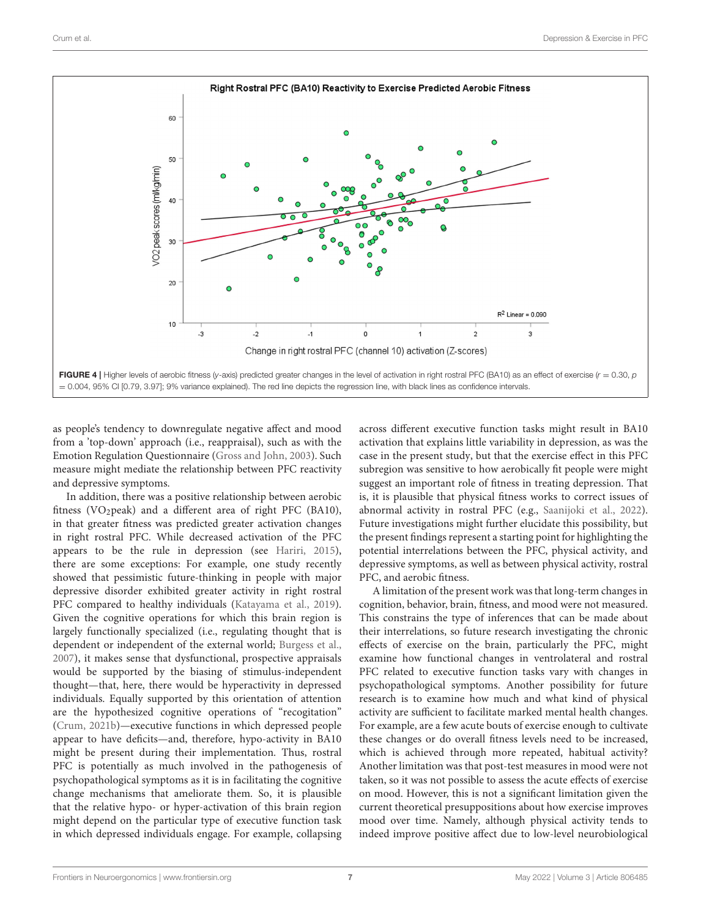

<span id="page-6-0"></span>as people's tendency to downregulate negative affect and mood from a 'top-down' approach (i.e., reappraisal), such as with the Emotion Regulation Questionnaire [\(Gross and John, 2003\)](#page-8-35). Such measure might mediate the relationship between PFC reactivity and depressive symptoms.

In addition, there was a positive relationship between aerobic fitness (VO<sub>2</sub>peak) and a different area of right PFC (BA10), in that greater fitness was predicted greater activation changes in right rostral PFC. While decreased activation of the PFC appears to be the rule in depression (see [Hariri, 2015\)](#page-8-36), there are some exceptions: For example, one study recently showed that pessimistic future-thinking in people with major depressive disorder exhibited greater activity in right rostral PFC compared to healthy individuals [\(Katayama et al., 2019\)](#page-8-37). Given the cognitive operations for which this brain region is largely functionally specialized (i.e., regulating thought that is dependent or independent of the external world; [Burgess et al.,](#page-7-9) [2007\)](#page-7-9), it makes sense that dysfunctional, prospective appraisals would be supported by the biasing of stimulus-independent thought—that, here, there would be hyperactivity in depressed individuals. Equally supported by this orientation of attention are the hypothesized cognitive operations of "recogitation" [\(Crum, 2021b\)](#page-7-2)—executive functions in which depressed people appear to have deficits—and, therefore, hypo-activity in BA10 might be present during their implementation. Thus, rostral PFC is potentially as much involved in the pathogenesis of psychopathological symptoms as it is in facilitating the cognitive change mechanisms that ameliorate them. So, it is plausible that the relative hypo- or hyper-activation of this brain region might depend on the particular type of executive function task in which depressed individuals engage. For example, collapsing across different executive function tasks might result in BA10 activation that explains little variability in depression, as was the case in the present study, but that the exercise effect in this PFC subregion was sensitive to how aerobically fit people were might suggest an important role of fitness in treating depression. That is, it is plausible that physical fitness works to correct issues of abnormal activity in rostral PFC (e.g., [Saanijoki et al., 2022\)](#page-8-38). Future investigations might further elucidate this possibility, but the present findings represent a starting point for highlighting the potential interrelations between the PFC, physical activity, and depressive symptoms, as well as between physical activity, rostral PFC, and aerobic fitness.

A limitation of the present work was that long-term changes in cognition, behavior, brain, fitness, and mood were not measured. This constrains the type of inferences that can be made about their interrelations, so future research investigating the chronic effects of exercise on the brain, particularly the PFC, might examine how functional changes in ventrolateral and rostral PFC related to executive function tasks vary with changes in psychopathological symptoms. Another possibility for future research is to examine how much and what kind of physical activity are sufficient to facilitate marked mental health changes. For example, are a few acute bouts of exercise enough to cultivate these changes or do overall fitness levels need to be increased, which is achieved through more repeated, habitual activity? Another limitation was that post-test measures in mood were not taken, so it was not possible to assess the acute effects of exercise on mood. However, this is not a significant limitation given the current theoretical presuppositions about how exercise improves mood over time. Namely, although physical activity tends to indeed improve positive affect due to low-level neurobiological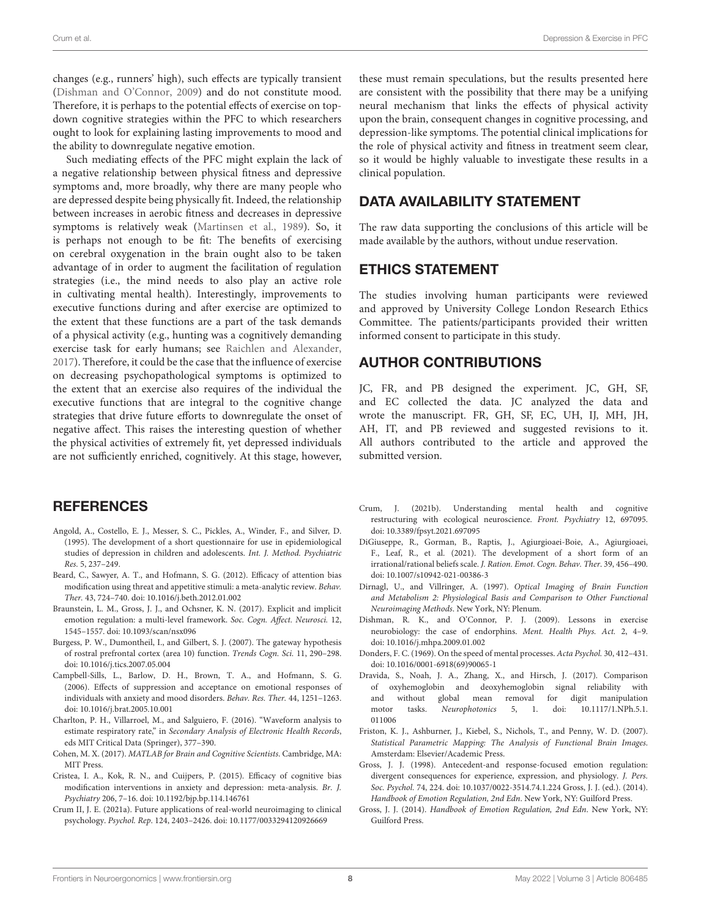changes (e.g., runners' high), such effects are typically transient [\(Dishman and O'Connor, 2009\)](#page-7-8) and do not constitute mood. Therefore, it is perhaps to the potential effects of exercise on topdown cognitive strategies within the PFC to which researchers ought to look for explaining lasting improvements to mood and the ability to downregulate negative emotion.

Such mediating effects of the PFC might explain the lack of a negative relationship between physical fitness and depressive symptoms and, more broadly, why there are many people who are depressed despite being physically fit. Indeed, the relationship between increases in aerobic fitness and decreases in depressive symptoms is relatively weak [\(Martinsen et al., 1989\)](#page-8-39). So, it is perhaps not enough to be fit: The benefits of exercising on cerebral oxygenation in the brain ought also to be taken advantage of in order to augment the facilitation of regulation strategies (i.e., the mind needs to also play an active role in cultivating mental health). Interestingly, improvements to executive functions during and after exercise are optimized to the extent that these functions are a part of the task demands of a physical activity (e.g., hunting was a cognitively demanding exercise task for early humans; see [Raichlen and Alexander,](#page-8-40) [2017\)](#page-8-40). Therefore, it could be the case that the influence of exercise on decreasing psychopathological symptoms is optimized to the extent that an exercise also requires of the individual the executive functions that are integral to the cognitive change strategies that drive future efforts to downregulate the onset of negative affect. This raises the interesting question of whether the physical activities of extremely fit, yet depressed individuals are not sufficiently enriched, cognitively. At this stage, however,

## **REFERENCES**

- <span id="page-7-10"></span>Angold, A., Costello, E. J., Messer, S. C., Pickles, A., Winder, F., and Silver, D. (1995). The development of a short questionnaire for use in epidemiological studies of depression in children and adolescents. Int. J. Method. Psychiatric Res. 5, 237–249.
- <span id="page-7-4"></span>Beard, C., Sawyer, A. T., and Hofmann, S. G. (2012). Efficacy of attention bias modification using threat and appetitive stimuli: a meta-analytic review. Behav. Ther. 43, 724–740. doi: [10.1016/j.beth.2012.01.002](https://doi.org/10.1016/j.beth.2012.01.002)
- <span id="page-7-3"></span>Braunstein, L. M., Gross, J. J., and Ochsner, K. N. (2017). Explicit and implicit emotion regulation: a multi-level framework. Soc. Cogn. Affect. Neurosci. 12, 1545–1557. doi: [10.1093/scan/nsx096](https://doi.org/10.1093/scan/nsx096)
- <span id="page-7-9"></span>Burgess, P. W., Dumontheil, I., and Gilbert, S. J. (2007). The gateway hypothesis of rostral prefrontal cortex (area 10) function. Trends Cogn. Sci. 11, 290–298. doi: [10.1016/j.tics.2007.05.004](https://doi.org/10.1016/j.tics.2007.05.004)
- <span id="page-7-0"></span>Campbell-Sills, L., Barlow, D. H., Brown, T. A., and Hofmann, S. G. (2006). Effects of suppression and acceptance on emotional responses of individuals with anxiety and mood disorders. Behav. Res. Ther. 44, 1251–1263. doi: [10.1016/j.brat.2005.10.001](https://doi.org/10.1016/j.brat.2005.10.001)
- <span id="page-7-13"></span>Charlton, P. H., Villarroel, M., and Salguiero, F. (2016). "Waveform analysis to estimate respiratory rate," in Secondary Analysis of Electronic Health Records, eds MIT Critical Data (Springer), 377–390.
- <span id="page-7-14"></span>Cohen, M. X. (2017). MATLAB for Brain and Cognitive Scientists. Cambridge, MA: MIT Press.
- <span id="page-7-5"></span>Cristea, I. A., Kok, R. N., and Cuijpers, P. (2015). Efficacy of cognitive bias modification interventions in anxiety and depression: meta-analysis. Br. J. Psychiatry 206, 7–16. doi: [10.1192/bjp.bp.114.146761](https://doi.org/10.1192/bjp.bp.114.146761)
- <span id="page-7-1"></span>Crum II, J. E. (2021a). Future applications of real-world neuroimaging to clinical psychology. Psychol. Rep. 124, 2403–2426. doi: [10.1177/0033294120926669](https://doi.org/10.1177/0033294120926669)

these must remain speculations, but the results presented here are consistent with the possibility that there may be a unifying neural mechanism that links the effects of physical activity upon the brain, consequent changes in cognitive processing, and depression-like symptoms. The potential clinical implications for the role of physical activity and fitness in treatment seem clear, so it would be highly valuable to investigate these results in a clinical population.

## DATA AVAILABILITY STATEMENT

The raw data supporting the conclusions of this article will be made available by the authors, without undue reservation.

#### ETHICS STATEMENT

The studies involving human participants were reviewed and approved by University College London Research Ethics Committee. The patients/participants provided their written informed consent to participate in this study.

#### AUTHOR CONTRIBUTIONS

JC, FR, and PB designed the experiment. JC, GH, SF, and EC collected the data. JC analyzed the data and wrote the manuscript. FR, GH, SF, EC, UH, IJ, MH, JH, AH, IT, and PB reviewed and suggested revisions to it. All authors contributed to the article and approved the submitted version.

- <span id="page-7-2"></span>Crum, J. (2021b). Understanding mental health and cognitive restructuring with ecological neuroscience. Front. Psychiatry 12, 697095. doi: [10.3389/fpsyt.2021.697095](https://doi.org/10.3389/fpsyt.2021.697095)
- <span id="page-7-17"></span>DiGiuseppe, R., Gorman, B., Raptis, J., Agiurgioaei-Boie, A., Agiurgioaei, F., Leaf, R., et al. (2021). The development of a short form of an irrational/rational beliefs scale. J. Ration. Emot. Cogn. Behav. Ther. 39, 456–490. doi: [10.1007/s10942-021-00386-3](https://doi.org/10.1007/s10942-021-00386-3)
- <span id="page-7-12"></span>Dirnagl, U., and Villringer, A. (1997). Optical Imaging of Brain Function and Metabolism 2: Physiological Basis and Comparison to Other Functional Neuroimaging Methods. New York, NY: Plenum.
- <span id="page-7-8"></span>Dishman, R. K., and O'Connor, P. J. (2009). Lessons in exercise neurobiology: the case of endorphins. Ment. Health Phys. Act. 2, 4–9. doi: [10.1016/j.mhpa.2009.01.002](https://doi.org/10.1016/j.mhpa.2009.01.002)
- <span id="page-7-11"></span>Donders, F. C. (1969). On the speed of mental processes. Acta Psychol. 30, 412–431. doi: [10.1016/0001-6918\(69\)90065-1](https://doi.org/10.1016/0001-6918(69)90065-1)
- <span id="page-7-16"></span>Dravida, S., Noah, J. A., Zhang, X., and Hirsch, J. (2017). Comparison of oxyhemoglobin and deoxyhemoglobin signal reliability with and without global mean removal for digit manipulation motor tasks. Neurophotonics [5, 1. doi: 10.1117/1.NPh.5.1.](https://doi.org/10.1117/1.NPh.5.1.011006) 011006
- <span id="page-7-15"></span>Friston, K. J., Ashburner, J., Kiebel, S., Nichols, T., and Penny, W. D. (2007). Statistical Parametric Mapping: The Analysis of Functional Brain Images. Amsterdam: Elsevier/Academic Press.
- <span id="page-7-6"></span>Gross, J. J. (1998). Antecedent-and response-focused emotion regulation: divergent consequences for experience, expression, and physiology. J. Pers. Soc. Psychol. 74, 224. doi: [10.1037/0022-3514.74.1.224](https://doi.org/10.1037/0022-3514.74.1.224) Gross, J. J. (ed.). (2014). Handbook of Emotion Regulation, 2nd Edn. New York, NY: Guilford Press.
- <span id="page-7-7"></span>Gross, J. J. (2014). Handbook of Emotion Regulation, 2nd Edn. New York, NY: Guilford Press.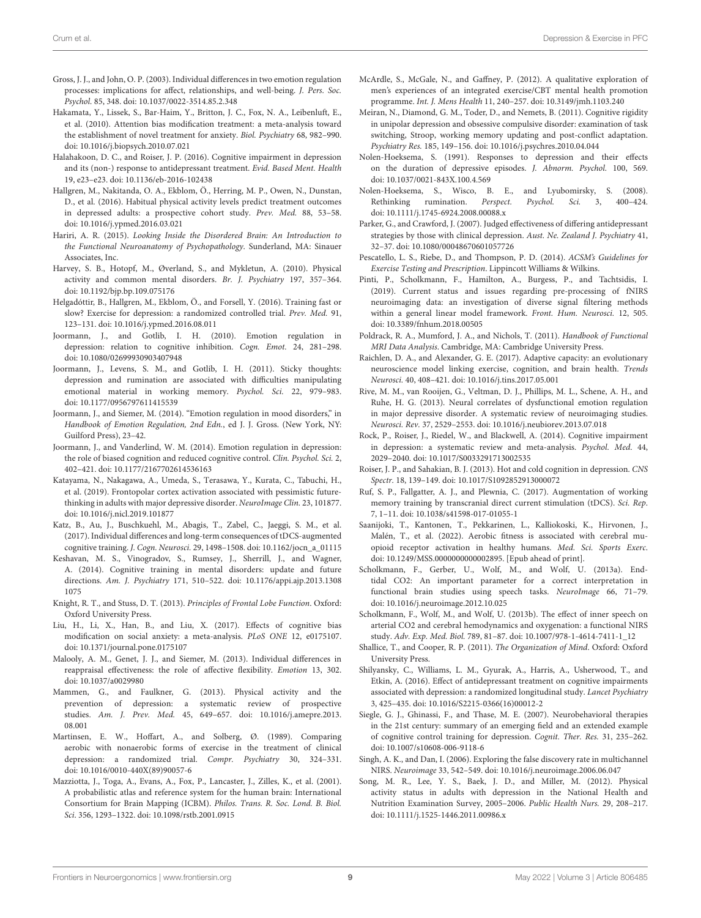- <span id="page-8-35"></span>Gross, J. J., and John, O. P. (2003). Individual differences in two emotion regulation processes: implications for affect, relationships, and well-being. J. Pers. Soc. Psychol. 85, 348. doi: [10.1037/0022-3514.85.2.348](https://doi.org/10.1037/0022-3514.85.2.348)
- <span id="page-8-11"></span>Hakamata, Y., Lissek, S., Bar-Haim, Y., Britton, J. C., Fox, N. A., Leibenluft, E., et al. (2010). Attention bias modification treatment: a meta-analysis toward the establishment of novel treatment for anxiety. Biol. Psychiatry 68, 982–990. doi: [10.1016/j.biopsych.2010.07.021](https://doi.org/10.1016/j.biopsych.2010.07.021)
- <span id="page-8-18"></span>Halahakoon, D. C., and Roiser, J. P. (2016). Cognitive impairment in depression and its (non-) response to antidepressant treatment. Evid. Based Ment. Health 19, e23–e23. doi: [10.1136/eb-2016-102438](https://doi.org/10.1136/eb-2016-102438)
- <span id="page-8-23"></span>Hallgren, M., Nakitanda, O. A., Ekblom, Ö., Herring, M. P., Owen, N., Dunstan, D., et al. (2016). Habitual physical activity levels predict treatment outcomes in depressed adults: a prospective cohort study. Prev. Med. 88, 53–58. doi: [10.1016/j.ypmed.2016.03.021](https://doi.org/10.1016/j.ypmed.2016.03.021)
- <span id="page-8-36"></span>Hariri, A. R. (2015). Looking Inside the Disordered Brain: An Introduction to the Functional Neuroanatomy of Psychopathology. Sunderland, MA: Sinauer Associates, Inc.
- <span id="page-8-20"></span>Harvey, S. B., Hotopf, M., Øverland, S., and Mykletun, A. (2010). Physical activity and common mental disorders. Br. J. Psychiatry 197, 357–364. doi: [10.1192/bjp.bp.109.075176](https://doi.org/10.1192/bjp.bp.109.075176)
- <span id="page-8-24"></span>Helgadóttir, B., Hallgren, M., Ekblom, Ö., and Forsell, Y. (2016). Training fast or slow? Exercise for depression: a randomized controlled trial. Prev. Med. 91, 123–131. doi: [10.1016/j.ypmed.2016.08.011](https://doi.org/10.1016/j.ypmed.2016.08.011)
- <span id="page-8-2"></span>Joormann, J., and Gotlib, I. H. (2010). Emotion regulation in depression: relation to cognitive inhibition. Cogn. Emot. 24, 281–298. doi: [10.1080/02699930903407948](https://doi.org/10.1080/02699930903407948)
- <span id="page-8-3"></span>Joormann, J., Levens, S. M., and Gotlib, I. H. (2011). Sticky thoughts: depression and rumination are associated with difficulties manipulating emotional material in working memory. Psychol. Sci. 22, 979–983. doi: [10.1177/0956797611415539](https://doi.org/10.1177/0956797611415539)
- <span id="page-8-8"></span>Joormann, J., and Siemer, M. (2014). "Emotion regulation in mood disorders," in Handbook of Emotion Regulation, 2nd Edn., ed J. J. Gross. (New York, NY: Guilford Press), 23–42.
- <span id="page-8-0"></span>Joormann, J., and Vanderlind, W. M. (2014). Emotion regulation in depression: the role of biased cognition and reduced cognitive control. Clin. Psychol. Sci. 2, 402–421. doi: [10.1177/2167702614536163](https://doi.org/10.1177/2167702614536163)
- <span id="page-8-37"></span>Katayama, N., Nakagawa, A., Umeda, S., Terasawa, Y., Kurata, C., Tabuchi, H., et al. (2019). Frontopolar cortex activation associated with pessimistic futurethinking in adults with major depressive disorder. NeuroImage Clin. 23, 101877. doi: [10.1016/j.nicl.2019.101877](https://doi.org/10.1016/j.nicl.2019.101877)
- <span id="page-8-15"></span>Katz, B., Au, J., Buschkuehl, M., Abagis, T., Zabel, C., Jaeggi, S. M., et al. (2017). Individual differences and long-term consequences of tDCS-augmented cognitive training. J. Cogn. Neurosci. 29, 1498–1508. doi: [10.1162/jocn\\_a\\_01115](https://doi.org/10.1162/jocn_a_01115)
- <span id="page-8-14"></span>Keshavan, M. S., Vinogradov, S., Rumsey, J., Sherrill, J., and Wagner, A. (2014). Cognitive training in mental disorders: update and future directions. Am. J. Psychiatry [171, 510–522. doi: 10.1176/appi.ajp.2013.1308](https://doi.org/10.1176/appi.ajp.2013.13081075) 1075
- <span id="page-8-10"></span>Knight, R. T., and Stuss, D. T. (2013). Principles of Frontal Lobe Function. Oxford: Oxford University Press.
- <span id="page-8-12"></span>Liu, H., Li, X., Han, B., and Liu, X. (2017). Effects of cognitive bias modification on social anxiety: a meta-analysis. PLoS ONE 12, e0175107. doi: [10.1371/journal.pone.0175107](https://doi.org/10.1371/journal.pone.0175107)
- <span id="page-8-5"></span>Malooly, A. M., Genet, J. J., and Siemer, M. (2013). Individual differences in reappraisal effectiveness: the role of affective flexibility. Emotion 13, 302. doi: [10.1037/a0029980](https://doi.org/10.1037/a0029980)
- <span id="page-8-22"></span>Mammen, G., and Faulkner, G. (2013). Physical activity and the prevention of depression: a systematic review of prospective studies. Am. J. Prev. Med. [45, 649–657. doi: 10.1016/j.amepre.2013.](https://doi.org/10.1016/j.amepre.2013.08.001) 08.001
- <span id="page-8-39"></span>Martinsen, E. W., Hoffart, A., and Solberg, Ø. (1989). Comparing aerobic with nonaerobic forms of exercise in the treatment of clinical depression: a randomized trial. Compr. Psychiatry 30, 324–331. doi: [10.1016/0010-440X\(89\)90057-6](https://doi.org/10.1016/0010-440X(89)90057-6)
- <span id="page-8-28"></span>Mazziotta, J., Toga, A., Evans, A., Fox, P., Lancaster, J., Zilles, K., et al. (2001). A probabilistic atlas and reference system for the human brain: International Consortium for Brain Mapping (ICBM). Philos. Trans. R. Soc. Lond. B. Biol. Sci. 356, 1293–1322. doi: [10.1098/rstb.2001.0915](https://doi.org/10.1098/rstb.2001.0915)
- <span id="page-8-17"></span>McArdle, S., McGale, N., and Gaffney, P. (2012). A qualitative exploration of men's experiences of an integrated exercise/CBT mental health promotion programme. Int. J. Mens Health 11, 240–257. doi: [10.3149/jmh.1103.240](https://doi.org/10.3149/jmh.1103.240)
- <span id="page-8-4"></span>Meiran, N., Diamond, G. M., Toder, D., and Nemets, B. (2011). Cognitive rigidity in unipolar depression and obsessive compulsive disorder: examination of task switching, Stroop, working memory updating and post-conflict adaptation. Psychiatry Res. 185, 149–156. doi: [10.1016/j.psychres.2010.04.044](https://doi.org/10.1016/j.psychres.2010.04.044)
- <span id="page-8-6"></span>Nolen-Hoeksema, S. (1991). Responses to depression and their effects on the duration of depressive episodes. J. Abnorm. Psychol. 100, 569. doi: [10.1037/0021-843X.100.4.569](https://doi.org/10.1037/0021-843X.100.4.569)
- <span id="page-8-7"></span>Nolen-Hoeksema, S., Wisco, B. E., and Lyubomirsky, S. (2008). Rethinking rumination. Perspect. Psychol. Sci. 3, 400–424. doi: [10.1111/j.1745-6924.2008.00088.x](https://doi.org/10.1111/j.1745-6924.2008.00088.x)
- <span id="page-8-25"></span>Parker, G., and Crawford, J. (2007). Judged effectiveness of differing antidepressant strategies by those with clinical depression. Aust. Ne. Zealand J. Psychiatry 41, 32–37. doi: [10.1080/00048670601057726](https://doi.org/10.1080/00048670601057726)
- <span id="page-8-27"></span>Pescatello, L. S., Riebe, D., and Thompson, P. D. (2014). ACSM's Guidelines for Exercise Testing and Prescription. Lippincott Williams & Wilkins.
- <span id="page-8-29"></span>Pinti, P., Scholkmann, F., Hamilton, A., Burgess, P., and Tachtsidis, I. (2019). Current status and issues regarding pre-processing of fNIRS neuroimaging data: an investigation of diverse signal filtering methods within a general linear model framework. Front. Hum. Neurosci. 12, 505. doi: [10.3389/fnhum.2018.00505](https://doi.org/10.3389/fnhum.2018.00505)
- <span id="page-8-30"></span>Poldrack, R. A., Mumford, J. A., and Nichols, T. (2011). Handbook of Functional MRI Data Analysis. Cambridge, MA: Cambridge University Press.
- <span id="page-8-40"></span>Raichlen, D. A., and Alexander, G. E. (2017). Adaptive capacity: an evolutionary neuroscience model linking exercise, cognition, and brain health. Trends Neurosci. 40, 408–421. doi: [10.1016/j.tins.2017.05.001](https://doi.org/10.1016/j.tins.2017.05.001)
- <span id="page-8-34"></span>Rive, M. M., van Rooijen, G., Veltman, D. J., Phillips, M. L., Schene, A. H., and Ruhe, H. G. (2013). Neural correlates of dysfunctional emotion regulation in major depressive disorder. A systematic review of neuroimaging studies. Neurosci. Rev. 37, 2529–2553. doi: [10.1016/j.neubiorev.2013.07.018](https://doi.org/10.1016/j.neubiorev.2013.07.018)
- <span id="page-8-1"></span>Rock, P., Roiser, J., Riedel, W., and Blackwell, A. (2014). Cognitive impairment in depression: a systematic review and meta-analysis. Psychol. Med. 44, 2029–2040. doi: [10.1017/S0033291713002535](https://doi.org/10.1017/S0033291713002535)
- <span id="page-8-9"></span>Roiser, J. P., and Sahakian, B. J. (2013). Hot and cold cognition in depression. CNS Spectr. 18, 139–149. doi: [10.1017/S1092852913000072](https://doi.org/10.1017/S1092852913000072)
- <span id="page-8-16"></span>Ruf, S. P., Fallgatter, A. J., and Plewnia, C. (2017). Augmentation of working memory training by transcranial direct current stimulation (tDCS). Sci. Rep. 7, 1–11. doi: [10.1038/s41598-017-01055-1](https://doi.org/10.1038/s41598-017-01055-1)
- <span id="page-8-38"></span>Saanijoki, T., Kantonen, T., Pekkarinen, L., Kalliokoski, K., Hirvonen, J., Malén, T., et al. (2022). Aerobic fitness is associated with cerebral muopioid receptor activation in healthy humans. Med. Sci. Sports Exerc. doi: [10.1249/MSS.0000000000002895.](https://doi.org/10.1249/MSS.0000000000002895) [Epub ahead of print].
- <span id="page-8-32"></span>Scholkmann, F., Gerber, U., Wolf, M., and Wolf, U. (2013a). Endtidal CO2: An important parameter for a correct interpretation in functional brain studies using speech tasks. NeuroImage 66, 71–79. doi: [10.1016/j.neuroimage.2012.10.025](https://doi.org/10.1016/j.neuroimage.2012.10.025)
- <span id="page-8-33"></span>Scholkmann, F., Wolf, M., and Wolf, U. (2013b). The effect of inner speech on arterial CO2 and cerebral hemodynamics and oxygenation: a functional NIRS study. Adv. Exp. Med. Biol. 789, 81–87. doi: [10.1007/978-1-4614-7411-1\\_12](https://doi.org/10.1007/978-1-4614-7411-1_12)
- <span id="page-8-26"></span>Shallice, T., and Cooper, R. P. (2011). The Organization of Mind. Oxford: Oxford University Press.
- <span id="page-8-19"></span>Shilyansky, C., Williams, L. M., Gyurak, A., Harris, A., Usherwood, T., and Etkin, A. (2016). Effect of antidepressant treatment on cognitive impairments associated with depression: a randomized longitudinal study. Lancet Psychiatry 3, 425–435. doi: [10.1016/S2215-0366\(16\)00012-2](https://doi.org/10.1016/S2215-0366(16)00012-2)
- <span id="page-8-13"></span>Siegle, G. J., Ghinassi, F., and Thase, M. E. (2007). Neurobehavioral therapies in the 21st century: summary of an emerging field and an extended example of cognitive control training for depression. Cognit. Ther. Res. 31, 235–262. doi: [10.1007/s10608-006-9118-6](https://doi.org/10.1007/s10608-006-9118-6)
- <span id="page-8-31"></span>Singh, A. K., and Dan, I. (2006). Exploring the false discovery rate in multichannel NIRS. Neuroimage 33, 542–549. doi: [10.1016/j.neuroimage.2006.06.047](https://doi.org/10.1016/j.neuroimage.2006.06.047)
- <span id="page-8-21"></span>Song, M. R., Lee, Y. S., Baek, J. D., and Miller, M. (2012). Physical activity status in adults with depression in the National Health and Nutrition Examination Survey, 2005–2006. Public Health Nurs. 29, 208–217. doi: [10.1111/j.1525-1446.2011.00986.x](https://doi.org/10.1111/j.1525-1446.2011.00986.x)